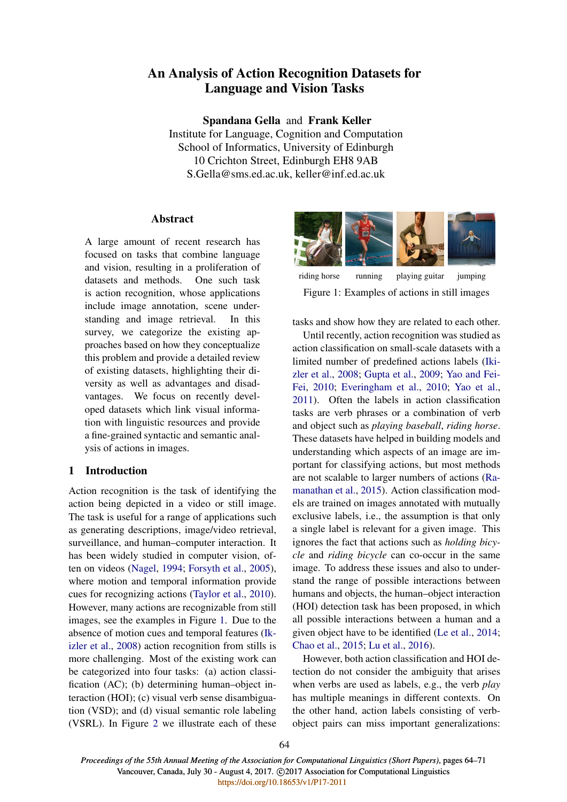# An Analysis of Action Recognition Datasets for Language and Vision Tasks

Spandana Gella and Frank Keller Institute for Language, Cognition and Computation School of Informatics, University of Edinburgh 10 Crichton Street, Edinburgh EH8 9AB S.Gella@sms.ed.ac.uk, keller@inf.ed.ac.uk

# Abstract

A large amount of recent research has focused on tasks that combine language and vision, resulting in a proliferation of datasets and methods. One such task is action recognition, whose applications include image annotation, scene understanding and image retrieval. In this survey, we categorize the existing approaches based on how they conceptualize this problem and provide a detailed review of existing datasets, highlighting their diversity as well as advantages and disadvantages. We focus on recently developed datasets which link visual information with linguistic resources and provide a fine-grained syntactic and semantic analysis of actions in images.

# 1 Introduction

Action recognition is the task of identifying the action being depicted in a video or still image. The task is useful for a range of applications such as generating descriptions, image/video retrieval, surveillance, and human–computer interaction. It has been widely studied in computer vision, often on videos (Nagel, 1994; Forsyth et al., 2005), where motion and temporal information provide cues for recognizing actions (Taylor et al., 2010). However, many actions are recognizable from still images, see the examples in Figure 1. Due to the absence of motion cues and temporal features (Ikizler et al., 2008) action recognition from stills is more challenging. Most of the existing work can be categorized into four tasks: (a) action classification (AC); (b) determining human–object interaction (HOI); (c) visual verb sense disambiguation (VSD); and (d) visual semantic role labeling (VSRL). In Figure 2 we illustrate each of these



riding horse running playing guitar jumping Figure 1: Examples of actions in still images

tasks and show how they are related to each other.

Until recently, action recognition was studied as action classification on small-scale datasets with a limited number of predefined actions labels (Ikizler et al., 2008; Gupta et al., 2009; Yao and Fei-Fei, 2010; Everingham et al., 2010; Yao et al., 2011). Often the labels in action classification tasks are verb phrases or a combination of verb and object such as *playing baseball*, *riding horse*. These datasets have helped in building models and understanding which aspects of an image are important for classifying actions, but most methods are not scalable to larger numbers of actions (Ramanathan et al., 2015). Action classification models are trained on images annotated with mutually exclusive labels, i.e., the assumption is that only a single label is relevant for a given image. This ignores the fact that actions such as *holding bicycle* and *riding bicycle* can co-occur in the same image. To address these issues and also to understand the range of possible interactions between humans and objects, the human–object interaction (HOI) detection task has been proposed, in which all possible interactions between a human and a given object have to be identified (Le et al., 2014; Chao et al., 2015; Lu et al., 2016).

However, both action classification and HOI detection do not consider the ambiguity that arises when verbs are used as labels, e.g., the verb *play* has multiple meanings in different contexts. On the other hand, action labels consisting of verbobject pairs can miss important generalizations:

*Proceedings of the 55th Annual Meeting of the Association for Computational Linguistics (Short Papers)*, pages 64–71 Vancouver, Canada, July 30 - August 4, 2017. @2017 Association for Computational Linguistics <https://doi.org/10.18653/v1/P17-2011>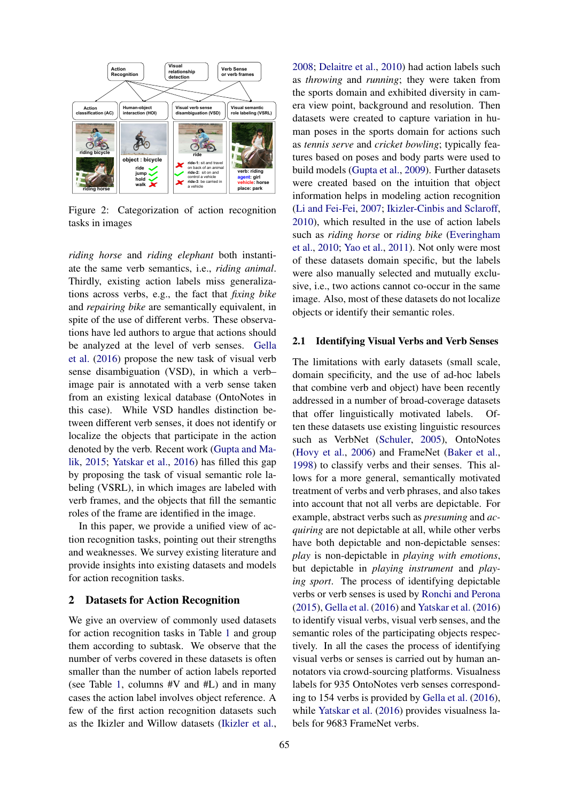

Figure 2: Categorization of action recognition tasks in images

*riding horse* and *riding elephant* both instantiate the same verb semantics, i.e., *riding animal*. Thirdly, existing action labels miss generalizations across verbs, e.g., the fact that *fixing bike* and *repairing bike* are semantically equivalent, in spite of the use of different verbs. These observations have led authors to argue that actions should be analyzed at the level of verb senses. Gella et al. (2016) propose the new task of visual verb sense disambiguation (VSD), in which a verb– image pair is annotated with a verb sense taken from an existing lexical database (OntoNotes in this case). While VSD handles distinction between different verb senses, it does not identify or localize the objects that participate in the action denoted by the verb. Recent work (Gupta and Malik, 2015; Yatskar et al., 2016) has filled this gap by proposing the task of visual semantic role labeling (VSRL), in which images are labeled with verb frames, and the objects that fill the semantic roles of the frame are identified in the image.

In this paper, we provide a unified view of action recognition tasks, pointing out their strengths and weaknesses. We survey existing literature and provide insights into existing datasets and models for action recognition tasks.

# 2 Datasets for Action Recognition

We give an overview of commonly used datasets for action recognition tasks in Table 1 and group them according to subtask. We observe that the number of verbs covered in these datasets is often smaller than the number of action labels reported (see Table 1, columns #V and #L) and in many cases the action label involves object reference. A few of the first action recognition datasets such as the Ikizler and Willow datasets (Ikizler et al.,

2008; Delaitre et al., 2010) had action labels such as *throwing* and *running*; they were taken from the sports domain and exhibited diversity in camera view point, background and resolution. Then datasets were created to capture variation in human poses in the sports domain for actions such as *tennis serve* and *cricket bowling*; typically features based on poses and body parts were used to build models (Gupta et al., 2009). Further datasets were created based on the intuition that object information helps in modeling action recognition (Li and Fei-Fei, 2007; Ikizler-Cinbis and Sclaroff, 2010), which resulted in the use of action labels such as *riding horse* or *riding bike* (Everingham et al., 2010; Yao et al., 2011). Not only were most of these datasets domain specific, but the labels were also manually selected and mutually exclusive, i.e., two actions cannot co-occur in the same image. Also, most of these datasets do not localize objects or identify their semantic roles.

### 2.1 Identifying Visual Verbs and Verb Senses

The limitations with early datasets (small scale, domain specificity, and the use of ad-hoc labels that combine verb and object) have been recently addressed in a number of broad-coverage datasets that offer linguistically motivated labels. Often these datasets use existing linguistic resources such as VerbNet (Schuler, 2005), OntoNotes (Hovy et al., 2006) and FrameNet (Baker et al., 1998) to classify verbs and their senses. This allows for a more general, semantically motivated treatment of verbs and verb phrases, and also takes into account that not all verbs are depictable. For example, abstract verbs such as *presuming* and *acquiring* are not depictable at all, while other verbs have both depictable and non-depictable senses: *play* is non-depictable in *playing with emotions*, but depictable in *playing instrument* and *playing sport*. The process of identifying depictable verbs or verb senses is used by Ronchi and Perona (2015), Gella et al. (2016) and Yatskar et al. (2016) to identify visual verbs, visual verb senses, and the semantic roles of the participating objects respectively. In all the cases the process of identifying visual verbs or senses is carried out by human annotators via crowd-sourcing platforms. Visualness labels for 935 OntoNotes verb senses corresponding to 154 verbs is provided by Gella et al. (2016), while Yatskar et al. (2016) provides visualness labels for 9683 FrameNet verbs.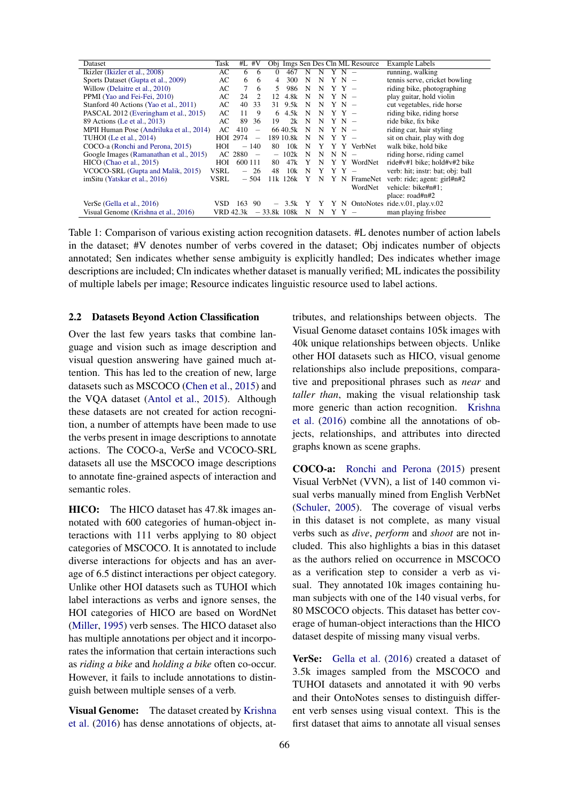| Dataset                                  | Task      | $#L$ #V  |                          |               |           |   |             |         |         | Obj Imgs Sen Des Cln ML Resource | <b>Example Labels</b>              |
|------------------------------------------|-----------|----------|--------------------------|---------------|-----------|---|-------------|---------|---------|----------------------------------|------------------------------------|
| Ikizler (Ikizler et al., 2008)           | AC        | 6        | -6                       | $\Omega$      | 467       | N | N           | $Y N -$ |         |                                  | running, walking                   |
| Sports Dataset (Gupta et al., 2009)      | AC        | 6        | -6                       | 4             | 300       | N | N           |         | $Y N -$ |                                  | tennis serve, cricket bowling      |
| Willow (Delaitre et al., 2010)           | AC        | 7        | 6                        | 5.            | 986       | N | N           |         | $Y Y -$ |                                  | riding bike, photographing         |
| PPMI (Yao and Fei-Fei, 2010)             | AC        | 24       | $\mathcal{L}$            | 12            | 4.8k      | N | N           |         | $Y N -$ |                                  | play guitar, hold violin           |
| Stanford 40 Actions (Yao et al., 2011)   | AC        | 40       | 33                       |               | 31 9.5k   | N | N           |         | $Y N -$ |                                  | cut vegetables, ride horse         |
| PASCAL 2012 (Everingham et al., 2015)    | AC        | 11       | 9                        | 6             | 4.5k      | N | N           |         | $YY -$  |                                  | riding bike, riding horse          |
| 89 Actions (Le et al., 2013)             | AC        | 89       | 36                       | 19            | 2k        | N | N           |         | $Y N -$ |                                  | ride bike, fix bike                |
| MPII Human Pose (Andriluka et al., 2014) | AC.       | 410      | $\qquad \qquad -$        |               | 66 40.5k  | N | N           |         | Y N     |                                  | riding car, hair styling           |
| <b>TUHOI</b> (Le et al., 2014)           |           | HOI 2974 | $\overline{\phantom{0}}$ |               | 189 10.8k | N | N           |         | Y Y –   |                                  | sit on chair, play with dog        |
| COCO-a (Ronchi and Perona, 2015)         | HOI       |          | $-140$                   | 80            | 10k       | N | Y           |         |         | Y Y VerbNet                      | walk bike, hold bike               |
| Google Images (Ramanathan et al., 2015)  | AC.       | 2880     | $\overline{\phantom{a}}$ |               | 102k      | N | N           |         | $N N -$ |                                  | riding horse, riding camel         |
| HICO (Chao et al., 2015)                 | HOI       | 600 111  |                          | 80            | 47k       |   | N           |         |         | Y Y WordNet                      | ride#v#1 bike; hold#v#2 bike       |
| VCOCO-SRL (Gupta and Malik, 2015)        | VSRL      |          | -26                      | 48            | 10k       | N | Y           |         | Y Y –   |                                  | verb: hit; instr: bat; obj: ball   |
| imSitu (Yatskar et al., 2016)            | VSRL      |          | $-504$                   |               | 11k 126k  |   | N           |         | ΥN      | FrameNet                         | verb: ride; agent: girl#n#2        |
|                                          |           |          |                          |               |           |   |             |         |         | WordNet                          | vehicle: bike#n#1;                 |
|                                          |           |          |                          |               |           |   |             |         |         |                                  | place: road#n#2                    |
| VerSe (Gella et al., 2016)               | VSD.      | 163      | 90                       |               | 3.5k      | Y | $\mathbf Y$ |         |         |                                  | Y N OntoNotes ride.v.01, play.v.02 |
| Visual Genome (Krishna et al., 2016)     | VRD 42.3k |          |                          | $-33.8k$ 108k |           | N | N           |         | Y Y -   |                                  | man playing frisbee                |

Table 1: Comparison of various existing action recognition datasets. #L denotes number of action labels in the dataset; #V denotes number of verbs covered in the dataset; Obj indicates number of objects annotated; Sen indicates whether sense ambiguity is explicitly handled; Des indicates whether image descriptions are included; Cln indicates whether dataset is manually verified; ML indicates the possibility of multiple labels per image; Resource indicates linguistic resource used to label actions.

### 2.2 Datasets Beyond Action Classification

Over the last few years tasks that combine language and vision such as image description and visual question answering have gained much attention. This has led to the creation of new, large datasets such as MSCOCO (Chen et al., 2015) and the VQA dataset (Antol et al., 2015). Although these datasets are not created for action recognition, a number of attempts have been made to use the verbs present in image descriptions to annotate actions. The COCO-a, VerSe and VCOCO-SRL datasets all use the MSCOCO image descriptions to annotate fine-grained aspects of interaction and semantic roles.

HICO: The HICO dataset has 47.8k images annotated with 600 categories of human-object interactions with 111 verbs applying to 80 object categories of MSCOCO. It is annotated to include diverse interactions for objects and has an average of 6.5 distinct interactions per object category. Unlike other HOI datasets such as TUHOI which label interactions as verbs and ignore senses, the HOI categories of HICO are based on WordNet (Miller, 1995) verb senses. The HICO dataset also has multiple annotations per object and it incorporates the information that certain interactions such as *riding a bike* and *holding a bike* often co-occur. However, it fails to include annotations to distinguish between multiple senses of a verb.

Visual Genome: The dataset created by Krishna et al. (2016) has dense annotations of objects, attributes, and relationships between objects. The Visual Genome dataset contains 105k images with 40k unique relationships between objects. Unlike other HOI datasets such as HICO, visual genome relationships also include prepositions, comparative and prepositional phrases such as *near* and *taller than*, making the visual relationship task more generic than action recognition. Krishna et al. (2016) combine all the annotations of objects, relationships, and attributes into directed graphs known as scene graphs.

COCO-a: Ronchi and Perona (2015) present Visual VerbNet (VVN), a list of 140 common visual verbs manually mined from English VerbNet (Schuler, 2005). The coverage of visual verbs in this dataset is not complete, as many visual verbs such as *dive*, *perform* and *shoot* are not included. This also highlights a bias in this dataset as the authors relied on occurrence in MSCOCO as a verification step to consider a verb as visual. They annotated 10k images containing human subjects with one of the 140 visual verbs, for 80 MSCOCO objects. This dataset has better coverage of human-object interactions than the HICO dataset despite of missing many visual verbs.

VerSe: Gella et al. (2016) created a dataset of 3.5k images sampled from the MSCOCO and TUHOI datasets and annotated it with 90 verbs and their OntoNotes senses to distinguish different verb senses using visual context. This is the first dataset that aims to annotate all visual senses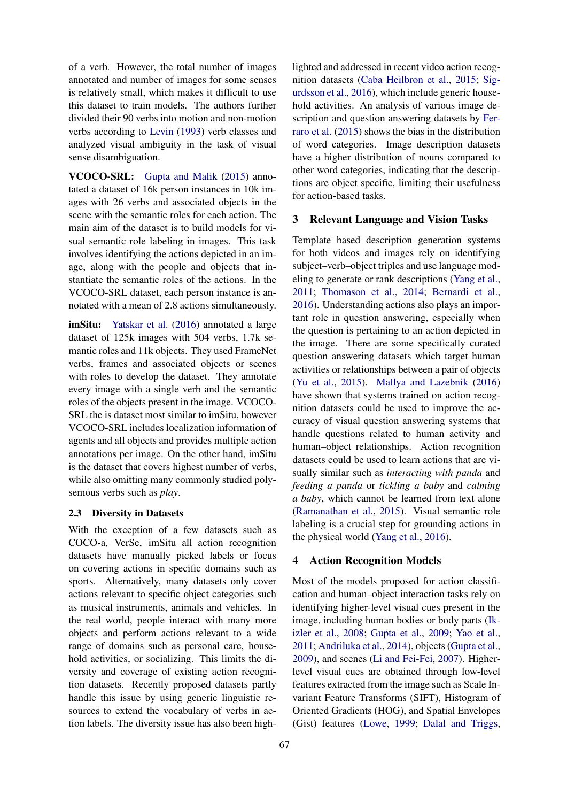of a verb. However, the total number of images annotated and number of images for some senses is relatively small, which makes it difficult to use this dataset to train models. The authors further divided their 90 verbs into motion and non-motion verbs according to Levin (1993) verb classes and analyzed visual ambiguity in the task of visual sense disambiguation.

VCOCO-SRL: Gupta and Malik (2015) annotated a dataset of 16k person instances in 10k images with 26 verbs and associated objects in the scene with the semantic roles for each action. The main aim of the dataset is to build models for visual semantic role labeling in images. This task involves identifying the actions depicted in an image, along with the people and objects that instantiate the semantic roles of the actions. In the VCOCO-SRL dataset, each person instance is annotated with a mean of 2.8 actions simultaneously.

imSitu: Yatskar et al. (2016) annotated a large dataset of 125k images with 504 verbs, 1.7k semantic roles and 11k objects. They used FrameNet verbs, frames and associated objects or scenes with roles to develop the dataset. They annotate every image with a single verb and the semantic roles of the objects present in the image. VCOCO-SRL the is dataset most similar to imSitu, however VCOCO-SRL includes localization information of agents and all objects and provides multiple action annotations per image. On the other hand, imSitu is the dataset that covers highest number of verbs, while also omitting many commonly studied polysemous verbs such as *play*.

#### 2.3 Diversity in Datasets

With the exception of a few datasets such as COCO-a, VerSe, imSitu all action recognition datasets have manually picked labels or focus on covering actions in specific domains such as sports. Alternatively, many datasets only cover actions relevant to specific object categories such as musical instruments, animals and vehicles. In the real world, people interact with many more objects and perform actions relevant to a wide range of domains such as personal care, household activities, or socializing. This limits the diversity and coverage of existing action recognition datasets. Recently proposed datasets partly handle this issue by using generic linguistic resources to extend the vocabulary of verbs in action labels. The diversity issue has also been high-

lighted and addressed in recent video action recognition datasets (Caba Heilbron et al., 2015; Sigurdsson et al., 2016), which include generic household activities. An analysis of various image description and question answering datasets by Ferraro et al. (2015) shows the bias in the distribution of word categories. Image description datasets have a higher distribution of nouns compared to other word categories, indicating that the descriptions are object specific, limiting their usefulness for action-based tasks.

### 3 Relevant Language and Vision Tasks

Template based description generation systems for both videos and images rely on identifying subject–verb–object triples and use language modeling to generate or rank descriptions (Yang et al., 2011; Thomason et al., 2014; Bernardi et al., 2016). Understanding actions also plays an important role in question answering, especially when the question is pertaining to an action depicted in the image. There are some specifically curated question answering datasets which target human activities or relationships between a pair of objects (Yu et al., 2015). Mallya and Lazebnik (2016) have shown that systems trained on action recognition datasets could be used to improve the accuracy of visual question answering systems that handle questions related to human activity and human–object relationships. Action recognition datasets could be used to learn actions that are visually similar such as *interacting with panda* and *feeding a panda* or *tickling a baby* and *calming a baby*, which cannot be learned from text alone (Ramanathan et al., 2015). Visual semantic role labeling is a crucial step for grounding actions in the physical world (Yang et al., 2016).

#### 4 Action Recognition Models

Most of the models proposed for action classification and human–object interaction tasks rely on identifying higher-level visual cues present in the image, including human bodies or body parts (Ikizler et al., 2008; Gupta et al., 2009; Yao et al., 2011; Andriluka et al., 2014), objects (Gupta et al., 2009), and scenes (Li and Fei-Fei, 2007). Higherlevel visual cues are obtained through low-level features extracted from the image such as Scale Invariant Feature Transforms (SIFT), Histogram of Oriented Gradients (HOG), and Spatial Envelopes (Gist) features (Lowe, 1999; Dalal and Triggs,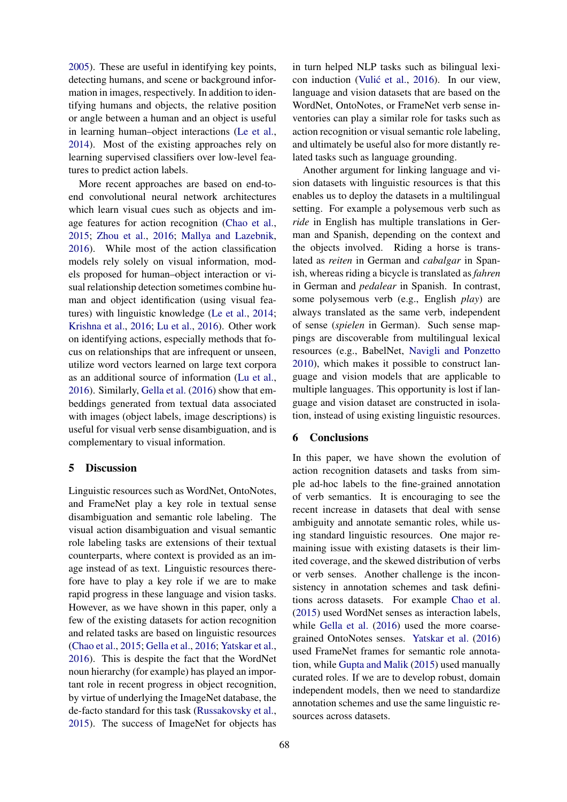2005). These are useful in identifying key points, detecting humans, and scene or background information in images, respectively. In addition to identifying humans and objects, the relative position or angle between a human and an object is useful in learning human–object interactions (Le et al., 2014). Most of the existing approaches rely on learning supervised classifiers over low-level features to predict action labels.

More recent approaches are based on end-toend convolutional neural network architectures which learn visual cues such as objects and image features for action recognition (Chao et al., 2015; Zhou et al., 2016; Mallya and Lazebnik, 2016). While most of the action classification models rely solely on visual information, models proposed for human–object interaction or visual relationship detection sometimes combine human and object identification (using visual features) with linguistic knowledge (Le et al., 2014; Krishna et al., 2016; Lu et al., 2016). Other work on identifying actions, especially methods that focus on relationships that are infrequent or unseen, utilize word vectors learned on large text corpora as an additional source of information (Lu et al., 2016). Similarly, Gella et al. (2016) show that embeddings generated from textual data associated with images (object labels, image descriptions) is useful for visual verb sense disambiguation, and is complementary to visual information.

# 5 Discussion

Linguistic resources such as WordNet, OntoNotes, and FrameNet play a key role in textual sense disambiguation and semantic role labeling. The visual action disambiguation and visual semantic role labeling tasks are extensions of their textual counterparts, where context is provided as an image instead of as text. Linguistic resources therefore have to play a key role if we are to make rapid progress in these language and vision tasks. However, as we have shown in this paper, only a few of the existing datasets for action recognition and related tasks are based on linguistic resources (Chao et al., 2015; Gella et al., 2016; Yatskar et al., 2016). This is despite the fact that the WordNet noun hierarchy (for example) has played an important role in recent progress in object recognition, by virtue of underlying the ImageNet database, the de-facto standard for this task (Russakovsky et al., 2015). The success of ImageNet for objects has

in turn helped NLP tasks such as bilingual lexicon induction (Vulić et al., 2016). In our view, language and vision datasets that are based on the WordNet, OntoNotes, or FrameNet verb sense inventories can play a similar role for tasks such as action recognition or visual semantic role labeling, and ultimately be useful also for more distantly related tasks such as language grounding.

Another argument for linking language and vision datasets with linguistic resources is that this enables us to deploy the datasets in a multilingual setting. For example a polysemous verb such as *ride* in English has multiple translations in German and Spanish, depending on the context and the objects involved. Riding a horse is translated as *reiten* in German and *cabalgar* in Spanish, whereas riding a bicycle is translated as *fahren* in German and *pedalear* in Spanish. In contrast, some polysemous verb (e.g., English *play*) are always translated as the same verb, independent of sense (*spielen* in German). Such sense mappings are discoverable from multilingual lexical resources (e.g., BabelNet, Navigli and Ponzetto 2010), which makes it possible to construct language and vision models that are applicable to multiple languages. This opportunity is lost if language and vision dataset are constructed in isolation, instead of using existing linguistic resources.

## 6 Conclusions

In this paper, we have shown the evolution of action recognition datasets and tasks from simple ad-hoc labels to the fine-grained annotation of verb semantics. It is encouraging to see the recent increase in datasets that deal with sense ambiguity and annotate semantic roles, while using standard linguistic resources. One major remaining issue with existing datasets is their limited coverage, and the skewed distribution of verbs or verb senses. Another challenge is the inconsistency in annotation schemes and task definitions across datasets. For example Chao et al. (2015) used WordNet senses as interaction labels, while Gella et al. (2016) used the more coarsegrained OntoNotes senses. Yatskar et al. (2016) used FrameNet frames for semantic role annotation, while Gupta and Malik (2015) used manually curated roles. If we are to develop robust, domain independent models, then we need to standardize annotation schemes and use the same linguistic resources across datasets.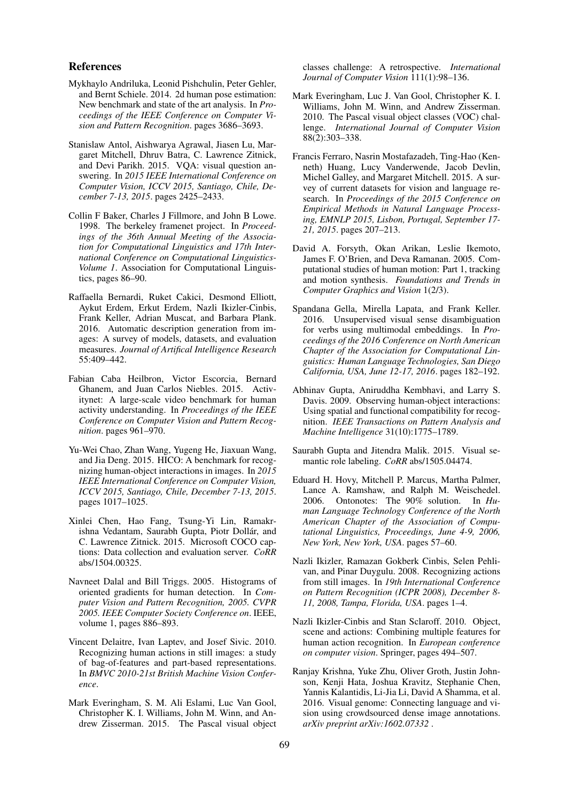### References

- Mykhaylo Andriluka, Leonid Pishchulin, Peter Gehler, and Bernt Schiele. 2014. 2d human pose estimation: New benchmark and state of the art analysis. In *Proceedings of the IEEE Conference on Computer Vision and Pattern Recognition*. pages 3686–3693.
- Stanislaw Antol, Aishwarya Agrawal, Jiasen Lu, Margaret Mitchell, Dhruv Batra, C. Lawrence Zitnick, and Devi Parikh. 2015. VQA: visual question answering. In *2015 IEEE International Conference on Computer Vision, ICCV 2015, Santiago, Chile, December 7-13, 2015*. pages 2425–2433.
- Collin F Baker, Charles J Fillmore, and John B Lowe. 1998. The berkeley framenet project. In *Proceedings of the 36th Annual Meeting of the Association for Computational Linguistics and 17th International Conference on Computational Linguistics-Volume 1*. Association for Computational Linguistics, pages 86–90.
- Raffaella Bernardi, Ruket Cakici, Desmond Elliott, Aykut Erdem, Erkut Erdem, Nazli Ikizler-Cinbis, Frank Keller, Adrian Muscat, and Barbara Plank. 2016. Automatic description generation from images: A survey of models, datasets, and evaluation measures. *Journal of Artifical Intelligence Research* 55:409–442.
- Fabian Caba Heilbron, Victor Escorcia, Bernard Ghanem, and Juan Carlos Niebles. 2015. Activitynet: A large-scale video benchmark for human activity understanding. In *Proceedings of the IEEE Conference on Computer Vision and Pattern Recognition*. pages 961–970.
- Yu-Wei Chao, Zhan Wang, Yugeng He, Jiaxuan Wang, and Jia Deng. 2015. HICO: A benchmark for recognizing human-object interactions in images. In *2015 IEEE International Conference on Computer Vision, ICCV 2015, Santiago, Chile, December 7-13, 2015*. pages 1017–1025.
- Xinlei Chen, Hao Fang, Tsung-Yi Lin, Ramakrishna Vedantam, Saurabh Gupta, Piotr Dollár, and C. Lawrence Zitnick. 2015. Microsoft COCO captions: Data collection and evaluation server. *CoRR* abs/1504.00325.
- Navneet Dalal and Bill Triggs. 2005. Histograms of oriented gradients for human detection. In *Computer Vision and Pattern Recognition, 2005. CVPR 2005. IEEE Computer Society Conference on*. IEEE, volume 1, pages 886–893.
- Vincent Delaitre, Ivan Laptev, and Josef Sivic. 2010. Recognizing human actions in still images: a study of bag-of-features and part-based representations. In *BMVC 2010-21st British Machine Vision Conference*.
- Mark Everingham, S. M. Ali Eslami, Luc Van Gool, Christopher K. I. Williams, John M. Winn, and Andrew Zisserman. 2015. The Pascal visual object

classes challenge: A retrospective. *International Journal of Computer Vision* 111(1):98–136.

- Mark Everingham, Luc J. Van Gool, Christopher K. I. Williams, John M. Winn, and Andrew Zisserman. 2010. The Pascal visual object classes (VOC) challenge. *International Journal of Computer Vision* 88(2):303–338.
- Francis Ferraro, Nasrin Mostafazadeh, Ting-Hao (Kenneth) Huang, Lucy Vanderwende, Jacob Devlin, Michel Galley, and Margaret Mitchell. 2015. A survey of current datasets for vision and language research. In *Proceedings of the 2015 Conference on Empirical Methods in Natural Language Processing, EMNLP 2015, Lisbon, Portugal, September 17- 21, 2015*. pages 207–213.
- David A. Forsyth, Okan Arikan, Leslie Ikemoto, James F. O'Brien, and Deva Ramanan. 2005. Computational studies of human motion: Part 1, tracking and motion synthesis. *Foundations and Trends in Computer Graphics and Vision* 1(2/3).
- Spandana Gella, Mirella Lapata, and Frank Keller. 2016. Unsupervised visual sense disambiguation for verbs using multimodal embeddings. In *Proceedings of the 2016 Conference on North American Chapter of the Association for Computational Linguistics: Human Language Technologies, San Diego California, USA, June 12-17, 2016*. pages 182–192.
- Abhinav Gupta, Aniruddha Kembhavi, and Larry S. Davis. 2009. Observing human-object interactions: Using spatial and functional compatibility for recognition. *IEEE Transactions on Pattern Analysis and Machine Intelligence* 31(10):1775–1789.
- Saurabh Gupta and Jitendra Malik. 2015. Visual semantic role labeling. *CoRR* abs/1505.04474.
- Eduard H. Hovy, Mitchell P. Marcus, Martha Palmer, Lance A. Ramshaw, and Ralph M. Weischedel. 2006. Ontonotes: The 90% solution. In *Human Language Technology Conference of the North American Chapter of the Association of Computational Linguistics, Proceedings, June 4-9, 2006, New York, New York, USA*. pages 57–60.
- Nazli Ikizler, Ramazan Gokberk Cinbis, Selen Pehlivan, and Pinar Duygulu. 2008. Recognizing actions from still images. In *19th International Conference on Pattern Recognition (ICPR 2008), December 8- 11, 2008, Tampa, Florida, USA*. pages 1–4.
- Nazli Ikizler-Cinbis and Stan Sclaroff. 2010. Object, scene and actions: Combining multiple features for human action recognition. In *European conference on computer vision*. Springer, pages 494–507.
- Ranjay Krishna, Yuke Zhu, Oliver Groth, Justin Johnson, Kenji Hata, Joshua Kravitz, Stephanie Chen, Yannis Kalantidis, Li-Jia Li, David A Shamma, et al. 2016. Visual genome: Connecting language and vision using crowdsourced dense image annotations. *arXiv preprint arXiv:1602.07332* .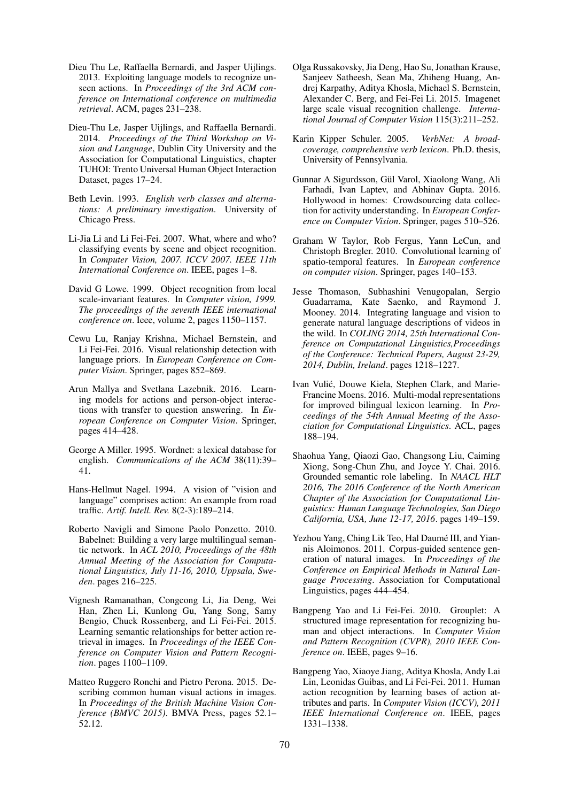- Dieu Thu Le, Raffaella Bernardi, and Jasper Uijlings. 2013. Exploiting language models to recognize unseen actions. In *Proceedings of the 3rd ACM conference on International conference on multimedia retrieval*. ACM, pages 231–238.
- Dieu-Thu Le, Jasper Uijlings, and Raffaella Bernardi. 2014. *Proceedings of the Third Workshop on Vision and Language*, Dublin City University and the Association for Computational Linguistics, chapter TUHOI: Trento Universal Human Object Interaction Dataset, pages 17–24.
- Beth Levin. 1993. *English verb classes and alternations: A preliminary investigation*. University of Chicago Press.
- Li-Jia Li and Li Fei-Fei. 2007. What, where and who? classifying events by scene and object recognition. In *Computer Vision, 2007. ICCV 2007. IEEE 11th International Conference on*. IEEE, pages 1–8.
- David G Lowe. 1999. Object recognition from local scale-invariant features. In *Computer vision, 1999. The proceedings of the seventh IEEE international conference on*. Ieee, volume 2, pages 1150–1157.
- Cewu Lu, Ranjay Krishna, Michael Bernstein, and Li Fei-Fei. 2016. Visual relationship detection with language priors. In *European Conference on Computer Vision*. Springer, pages 852–869.
- Arun Mallya and Svetlana Lazebnik. 2016. Learning models for actions and person-object interactions with transfer to question answering. In *European Conference on Computer Vision*. Springer, pages 414–428.
- George A Miller. 1995. Wordnet: a lexical database for english. *Communications of the ACM* 38(11):39– 41.
- Hans-Hellmut Nagel. 1994. A vision of "vision and language" comprises action: An example from road traffic. *Artif. Intell. Rev.* 8(2-3):189–214.
- Roberto Navigli and Simone Paolo Ponzetto. 2010. Babelnet: Building a very large multilingual semantic network. In *ACL 2010, Proceedings of the 48th Annual Meeting of the Association for Computational Linguistics, July 11-16, 2010, Uppsala, Sweden*. pages 216–225.
- Vignesh Ramanathan, Congcong Li, Jia Deng, Wei Han, Zhen Li, Kunlong Gu, Yang Song, Samy Bengio, Chuck Rossenberg, and Li Fei-Fei. 2015. Learning semantic relationships for better action retrieval in images. In *Proceedings of the IEEE Conference on Computer Vision and Pattern Recognition*. pages 1100–1109.
- Matteo Ruggero Ronchi and Pietro Perona. 2015. Describing common human visual actions in images. In *Proceedings of the British Machine Vision Conference (BMVC 2015)*. BMVA Press, pages 52.1– 52.12.
- Olga Russakovsky, Jia Deng, Hao Su, Jonathan Krause, Sanjeev Satheesh, Sean Ma, Zhiheng Huang, Andrej Karpathy, Aditya Khosla, Michael S. Bernstein, Alexander C. Berg, and Fei-Fei Li. 2015. Imagenet large scale visual recognition challenge. *International Journal of Computer Vision* 115(3):211–252.
- Karin Kipper Schuler. 2005. *VerbNet: A broadcoverage, comprehensive verb lexicon*. Ph.D. thesis, University of Pennsylvania.
- Gunnar A Sigurdsson, Gül Varol, Xiaolong Wang, Ali Farhadi, Ivan Laptev, and Abhinav Gupta. 2016. Hollywood in homes: Crowdsourcing data collection for activity understanding. In *European Conference on Computer Vision*. Springer, pages 510–526.
- Graham W Taylor, Rob Fergus, Yann LeCun, and Christoph Bregler. 2010. Convolutional learning of spatio-temporal features. In *European conference on computer vision*. Springer, pages 140–153.
- Jesse Thomason, Subhashini Venugopalan, Sergio Guadarrama, Kate Saenko, and Raymond J. Mooney. 2014. Integrating language and vision to generate natural language descriptions of videos in the wild. In *COLING 2014, 25th International Conference on Computational Linguistics,Proceedings of the Conference: Technical Papers, August 23-29, 2014, Dublin, Ireland*. pages 1218–1227.
- Ivan Vulic, Douwe Kiela, Stephen Clark, and Marie- ´ Francine Moens. 2016. Multi-modal representations for improved bilingual lexicon learning. In *Proceedings of the 54th Annual Meeting of the Association for Computational Linguistics*. ACL, pages 188–194.
- Shaohua Yang, Qiaozi Gao, Changsong Liu, Caiming Xiong, Song-Chun Zhu, and Joyce Y. Chai. 2016. Grounded semantic role labeling. In *NAACL HLT 2016, The 2016 Conference of the North American Chapter of the Association for Computational Linguistics: Human Language Technologies, San Diego California, USA, June 12-17, 2016*. pages 149–159.
- Yezhou Yang, Ching Lik Teo, Hal Daumé III, and Yiannis Aloimonos. 2011. Corpus-guided sentence generation of natural images. In *Proceedings of the Conference on Empirical Methods in Natural Language Processing*. Association for Computational Linguistics, pages 444–454.
- Bangpeng Yao and Li Fei-Fei. 2010. Grouplet: A structured image representation for recognizing human and object interactions. In *Computer Vision and Pattern Recognition (CVPR), 2010 IEEE Conference on*. IEEE, pages 9–16.
- Bangpeng Yao, Xiaoye Jiang, Aditya Khosla, Andy Lai Lin, Leonidas Guibas, and Li Fei-Fei. 2011. Human action recognition by learning bases of action attributes and parts. In *Computer Vision (ICCV), 2011 IEEE International Conference on*. IEEE, pages 1331–1338.